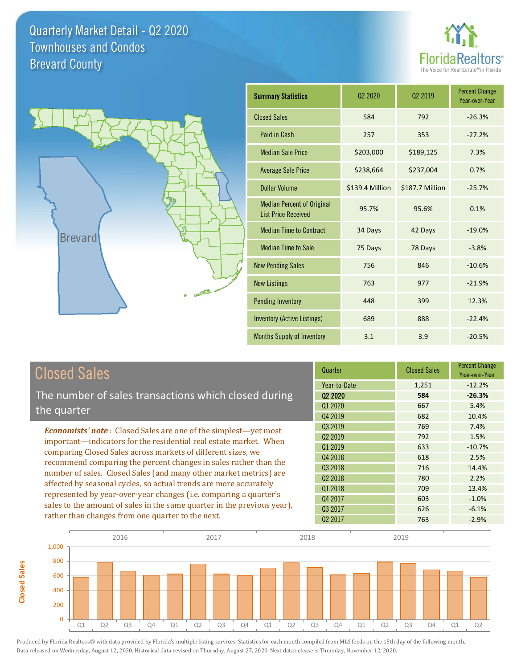**Closed Sales**

**Closed Sales** 





| <b>Summary Statistics</b>                                       | 02 2020         | 02 2019         | <b>Percent Change</b><br>Year-over-Year |
|-----------------------------------------------------------------|-----------------|-----------------|-----------------------------------------|
| <b>Closed Sales</b>                                             | 584             | 792             | $-26.3%$                                |
| Paid in Cash                                                    | 257             | 353             | $-27.2%$                                |
| <b>Median Sale Price</b>                                        | \$203,000       | \$189,125       | 7.3%                                    |
| <b>Average Sale Price</b>                                       | \$238,664       | \$237,004       | 0.7%                                    |
| Dollar Volume                                                   | \$139.4 Million | \$187.7 Million | $-25.7%$                                |
| <b>Median Percent of Original</b><br><b>List Price Received</b> | 95.7%           | 95.6%           | 0.1%                                    |
| <b>Median Time to Contract</b>                                  | 34 Days         | 42 Days         | $-19.0%$                                |
| <b>Median Time to Sale</b>                                      | 75 Days         | 78 Days         | $-3.8%$                                 |
| <b>New Pending Sales</b>                                        | 756             | 846             | $-10.6%$                                |
| <b>New Listings</b>                                             | 763             | 977             | $-21.9%$                                |
| <b>Pending Inventory</b>                                        | 448             | 399             | 12.3%                                   |
| <b>Inventory (Active Listings)</b>                              | 689             | 888             | $-22.4%$                                |
| <b>Months Supply of Inventory</b>                               | 3.1             | 3.9             | $-20.5%$                                |

| <b>Closed Sales</b>                                                                                                                                                                                                                                                        | Quarter                        | <b>Closed Sales</b> | <b>Percent Change</b><br>Year-over-Year |
|----------------------------------------------------------------------------------------------------------------------------------------------------------------------------------------------------------------------------------------------------------------------------|--------------------------------|---------------------|-----------------------------------------|
|                                                                                                                                                                                                                                                                            | Year-to-Date                   | 1,251               | $-12.2%$                                |
| The number of sales transactions which closed during                                                                                                                                                                                                                       | Q <sub>2</sub> 2020<br>Q1 2020 | 584<br>667          | $-26.3%$<br>5.4%                        |
| the quarter                                                                                                                                                                                                                                                                | Q4 2019                        | 682                 | 10.4%                                   |
| <b>Economists' note:</b> Closed Sales are one of the simplest—yet most                                                                                                                                                                                                     | Q3 2019                        | 769                 | 7.4%                                    |
| important—indicators for the residential real estate market. When                                                                                                                                                                                                          | Q <sub>2</sub> 2019            | 792                 | 1.5%                                    |
| comparing Closed Sales across markets of different sizes, we<br>recommend comparing the percent changes in sales rather than the<br>number of sales. Closed Sales (and many other market metrics) are<br>affected by seasonal cycles, so actual trends are more accurately | Q1 2019                        | 633                 | $-10.7%$                                |
|                                                                                                                                                                                                                                                                            | Q4 2018                        | 618                 | 2.5%                                    |
|                                                                                                                                                                                                                                                                            | Q3 2018                        | 716                 | 14.4%                                   |
|                                                                                                                                                                                                                                                                            | Q <sub>2</sub> 2018            | 780                 | 2.2%                                    |
|                                                                                                                                                                                                                                                                            | Q1 2018                        | 709                 | 13.4%                                   |
| represented by year-over-year changes (i.e. comparing a quarter's                                                                                                                                                                                                          | Q4 2017                        | 603                 | $-1.0%$                                 |
| sales to the amount of sales in the same quarter in the previous year),                                                                                                                                                                                                    | Q3 2017                        | 626                 | $-6.1%$                                 |
| rather than changes from one quarter to the next.                                                                                                                                                                                                                          | 02 2017                        | 763                 | $-2.9%$                                 |

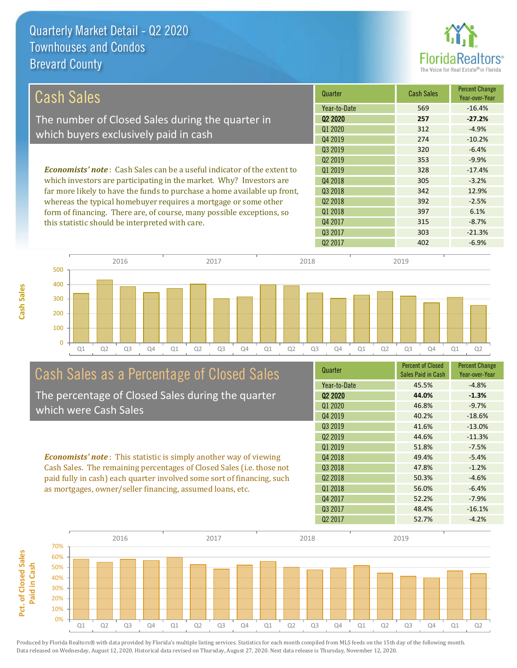

| Cash Sales                                                                      | Quarter      | Cash Sales | <b>Percent Change</b><br>Year-over-Year |
|---------------------------------------------------------------------------------|--------------|------------|-----------------------------------------|
|                                                                                 | Year-to-Date | 569        | $-16.4%$                                |
| The number of Closed Sales during the quarter in                                | 02 2020      | 257        | $-27.2%$                                |
|                                                                                 | Q1 2020      | 312        | $-4.9%$                                 |
| which buyers exclusively paid in cash                                           | 04 2019      | 274        | $-10.2%$                                |
|                                                                                 | Q3 2019      | 320        | $-6.4%$                                 |
|                                                                                 | 02 2019      | 353        | $-9.9\%$                                |
| <b>Economists' note</b> : Cash Sales can be a useful indicator of the extent to | 01 2019      | 328        | $-17.4%$                                |
| which investors are participating in the market. Why? Investors are             | 04 2018      | 305        | $-3.2%$                                 |
| far more likely to have the funds to purchase a home available up front,        | Q3 2018      | 342        | 12.9%                                   |
| whereas the typical homebuyer requires a mortgage or some other                 | 02 2018      | 392        | $-2.5%$                                 |
| form of financing. There are, of course, many possible exceptions, so           | 01 2018      | 397        | 6.1%                                    |
| this statistic should be interpreted with care.                                 | 04 2017      | 315        | $-8.7\%$                                |
|                                                                                 | 03 2017      | 303        | $-21.3%$                                |



# Cash Sales as a Percentage of Closed Sales

The percentage of Closed Sales during the quarter which were Cash Sales

*Economists' note* : This statistic is simply another way of viewing Cash Sales. The remaining percentages of Closed Sales (i.e. those not paid fully in cash) each quarter involved some sort of financing, such as mortgages, owner/seller financing, assumed loans, etc.

| Quarter                         | <b>Percent of Closed</b><br><b>Sales Paid in Cash</b> | <b>Percent Change</b><br>Year-over-Year |
|---------------------------------|-------------------------------------------------------|-----------------------------------------|
| Year-to-Date                    | 45.5%                                                 | $-4.8%$                                 |
| Q <sub>2</sub> 20 <sub>20</sub> | 44.0%                                                 | $-1.3%$                                 |
| Q1 2020                         | 46.8%                                                 | $-9.7%$                                 |
| Q4 2019                         | 40.2%                                                 | $-18.6%$                                |
| Q3 2019                         | 41.6%                                                 | $-13.0%$                                |
| Q <sub>2</sub> 2019             | 44.6%                                                 | $-11.3%$                                |
| 01 2019                         | 51.8%                                                 | $-7.5%$                                 |
| Q4 2018                         | 49.4%                                                 | $-5.4%$                                 |
| Q <sub>3</sub> 2018             | 47.8%                                                 | $-1.2%$                                 |
| 02 2018                         | 50.3%                                                 | $-4.6%$                                 |
| Q1 2018                         | 56.0%                                                 | $-6.4%$                                 |
| Q4 2017                         | 52.2%                                                 | $-7.9%$                                 |
| Q <sub>3</sub> 2017             | 48.4%                                                 | $-16.1%$                                |
| Q <sub>2</sub> 2017             | 52.7%                                                 | $-4.2%$                                 |

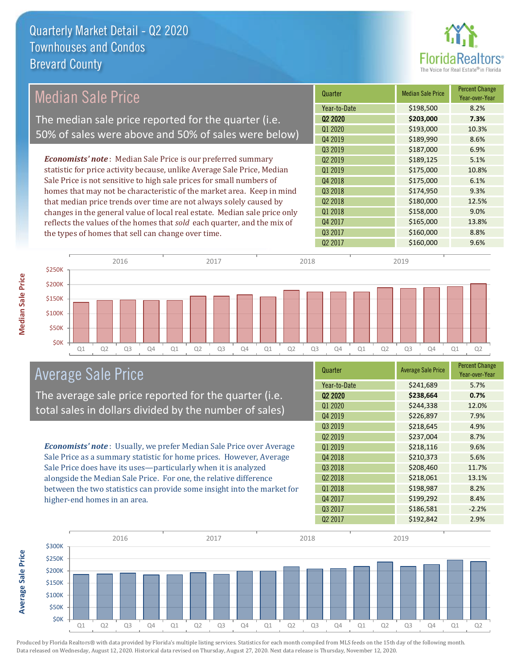

#### *Economists' note* : Median Sale Price is our preferred summary statistic for price activity because, unlike Average Sale Price, Median Sale Price is not sensitive to high sale prices for small numbers of homes that may not be characteristic of the market area. Keep in mind that median price trends over time are not always solely caused by changes in the general value of local real estate. Median sale price only reflects the values of the homes that *sold* each quarter, and the mix of the types of homes that sell can change over time. 02 2017 \$160,000 9.6% Q4 2017 \$165,000 13.8% Q3 2017 \$160,000 \$160,000 \$160,000 Q2 2018 \$180,000 12.5% Q1 2018 **\$158,000** 9.0% \$187,000 6.9% Q2 2019 \$189,125 5.1% Q3 2018 \$174,950 9.3% Q1 2020 \$193,000 10.3% Q4 2019 \$189,990 \$189,990 Q1 2019 **\$175,000** \$175,000 10.8% Q4 2018 **\$175,000** 6.1% Q3 2019 Quarter Median Sale Price Percent Change Year-over-Year Q2 2020 **\$203,000 7.3%** Year-to-Date \$198,500 8.2% \$50K \$100K \$150K \$200K \$250K 2016 2017 2018 2019 Median Sale Price The median sale price reported for the quarter (i.e. 50% of sales were above and 50% of sales were below)

Q1 Q2 Q3 Q4 Q1 Q2 Q3 Q4 Q1 Q2 Q3 Q4 Q1 Q2 Q3 Q4 Q1 Q2

### Average Sale Price

\$0K

The average sale price reported for the quarter (i.e. total sales in dollars divided by the number of sales)

*Economists' note* : Usually, we prefer Median Sale Price over Average Sale Price as a summary statistic for home prices. However, Average Sale Price does have its uses—particularly when it is analyzed alongside the Median Sale Price. For one, the relative difference between the two statistics can provide some insight into the market for higher-end homes in an area.

| Quarter             | <b>Average Sale Price</b> | <b>Percent Change</b><br>Year-over-Year |
|---------------------|---------------------------|-----------------------------------------|
| Year-to-Date        | \$241,689                 | 5.7%                                    |
| Q <sub>2</sub> 2020 | \$238,664                 | 0.7%                                    |
| Q1 2020             | \$244,338                 | 12.0%                                   |
| Q4 2019             | \$226,897                 | 7.9%                                    |
| Q3 2019             | \$218,645                 | 4.9%                                    |
| Q <sub>2</sub> 2019 | \$237,004                 | 8.7%                                    |
| Q1 2019             | \$218,116                 | 9.6%                                    |
| Q4 2018             | \$210,373                 | 5.6%                                    |
| Q3 2018             | \$208,460                 | 11.7%                                   |
| Q <sub>2</sub> 2018 | \$218,061                 | 13.1%                                   |
| 01 2018             | \$198,987                 | 8.2%                                    |
| Q4 2017             | \$199,292                 | 8.4%                                    |
| Q3 2017             | \$186,581                 | $-2.2%$                                 |
| Q <sub>2</sub> 2017 | \$192,842                 | 2.9%                                    |



Produced by Florida Realtors® with data provided by Florida's multiple listing services. Statistics for each month compiled from MLS feeds on the 15th day of the following month. Data released on Wednesday, August 12, 2020. Historical data revised on Thursday, August 27, 2020. Next data release is Thursday, November 12, 2020.

**Average Sale Price**

**Average Sale Price**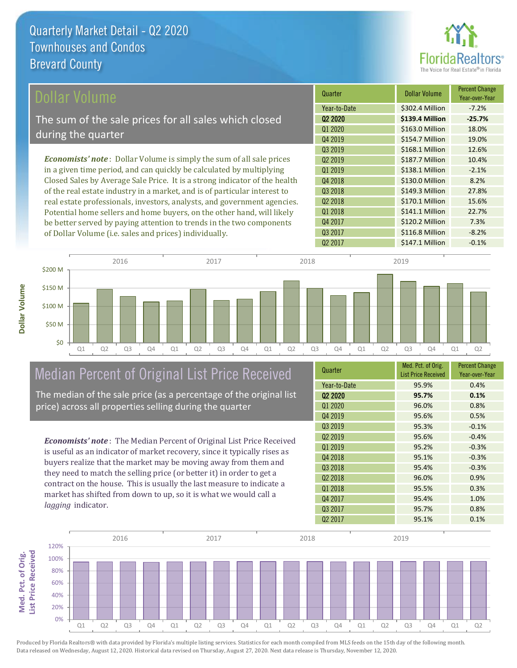

| Dollar Volume                                                                | Quarter             | Dollar Volume   | <b>Percent Change</b><br>Year-over-Year |
|------------------------------------------------------------------------------|---------------------|-----------------|-----------------------------------------|
|                                                                              | Year-to-Date        | \$302.4 Million | $-7.2%$                                 |
| The sum of the sale prices for all sales which closed                        | 02 2020             | \$139.4 Million | $-25.7%$                                |
|                                                                              | Q1 2020             | \$163.0 Million | 18.0%                                   |
| during the quarter                                                           | Q4 2019             | \$154.7 Million | 19.0%                                   |
|                                                                              | Q3 2019             | \$168.1 Million | 12.6%                                   |
| <b>Economists' note</b> : Dollar Volume is simply the sum of all sale prices | 02 2019             | \$187.7 Million | 10.4%                                   |
| in a given time period, and can quickly be calculated by multiplying         | 01 2019             | \$138.1 Million | $-2.1%$                                 |
| Closed Sales by Average Sale Price. It is a strong indicator of the health   | Q4 2018             | \$130.0 Million | 8.2%                                    |
| of the real estate industry in a market, and is of particular interest to    | Q3 2018             | \$149.3 Million | 27.8%                                   |
| real estate professionals, investors, analysts, and government agencies.     | Q <sub>2</sub> 2018 | \$170.1 Million | 15.6%                                   |
| Potential home sellers and home buyers, on the other hand, will likely       | 01 2018             | \$141.1 Million | 22.7%                                   |
| be better served by paying attention to trends in the two components         | Q4 2017             | \$120.2 Million | 7.3%                                    |



# Median Percent of Original List Price Received

of Dollar Volume (i.e. sales and prices) individually.

The median of the sale price (as a percentage of the original list price) across all properties selling during the quarter

*Economists' note* : The Median Percent of Original List Price Received is useful as an indicator of market recovery, since it typically rises as buyers realize that the market may be moving away from them and they need to match the selling price (or better it) in order to get a contract on the house. This is usually the last measure to indicate a

| Quarter             | Med. Pct. of Orig.<br><b>List Price Received</b> | <b>Percent Change</b><br>Year-over-Year |
|---------------------|--------------------------------------------------|-----------------------------------------|
| Year-to-Date        | 95.9%                                            | 0.4%                                    |
| Q <sub>2</sub> 2020 | 95.7%                                            | 0.1%                                    |
| Q1 2020             | 96.0%                                            | 0.8%                                    |
| Q4 2019             | 95.6%                                            | 0.5%                                    |
| Q3 2019             | 95.3%                                            | $-0.1%$                                 |
| Q <sub>2</sub> 2019 | 95.6%                                            | $-0.4%$                                 |
| Q1 2019             | 95.2%                                            | $-0.3%$                                 |
| Q4 2018             | 95.1%                                            | $-0.3%$                                 |
| Q3 2018             | 95.4%                                            | $-0.3%$                                 |
| Q <sub>2</sub> 2018 | 96.0%                                            | 0.9%                                    |
| 01 2018             | 95.5%                                            | 0.3%                                    |
| Q4 2017             | 95.4%                                            | 1.0%                                    |
| Q3 2017             | 95.7%                                            | 0.8%                                    |
| Q <sub>2</sub> 2017 | 95.1%                                            | 0.1%                                    |

Q3 2017 **\$116.8 Million -8.2%** 



**Med. Pct. of Orig.** 

Med. Pct. of Orig.

**Dollar Volume**

market has shifted from down to up, so it is what we would call a *lagging* indicator.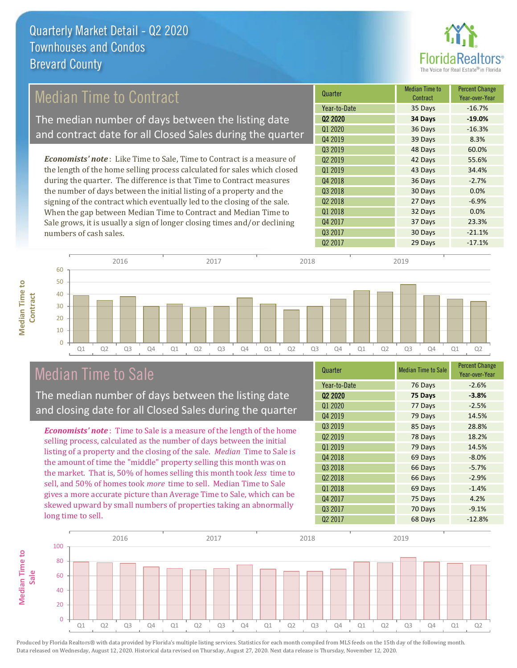

## Median Time to Contract

The median number of days between the listing date and contract date for all Closed Sales during the quarter

*Economists' note* : Like Time to Sale, Time to Contract is a measure of the length of the home selling process calculated for sales which closed during the quarter. The difference is that Time to Contract measures the number of days between the initial listing of a property and the signing of the contract which eventually led to the closing of the sale. When the gap between Median Time to Contract and Median Time to Sale grows, it is usually a sign of longer closing times and/or declining numbers of cash sales.





### Median Time to Sale

**Median Time to** 

**Median Time to** 

The median number of days between the listing date and closing date for all Closed Sales during the quarter

*Economists' note* : Time to Sale is a measure of the length of the home selling process, calculated as the number of days between the initial listing of a property and the closing of the sale. *Median* Time to Sale is the amount of time the "middle" property selling this month was on the market. That is, 50% of homes selling this month took *less* time to sell, and 50% of homes took *more* time to sell. Median Time to Sale gives a more accurate picture than Average Time to Sale, which can be skewed upward by small numbers of properties taking an abnormally long time to sell.

| Quarter             | <b>Median Time to Sale</b> | <b>Percent Change</b><br>Year-over-Year |
|---------------------|----------------------------|-----------------------------------------|
| Year-to-Date        | 76 Days                    | $-2.6%$                                 |
| Q <sub>2</sub> 2020 | 75 Days                    | $-3.8%$                                 |
| Q1 2020             | 77 Days                    | $-2.5%$                                 |
| Q4 2019             | 79 Days                    | 14.5%                                   |
| Q3 2019             | 85 Days                    | 28.8%                                   |
| Q <sub>2</sub> 2019 | 78 Days                    | 18.2%                                   |
| Q1 2019             | 79 Days                    | 14.5%                                   |
| Q4 2018             | 69 Days                    | $-8.0%$                                 |
| Q3 2018             | 66 Days                    | $-5.7%$                                 |
| Q <sub>2</sub> 2018 | 66 Days                    | $-2.9%$                                 |
| 01 2018             | 69 Days                    | $-1.4%$                                 |
| Q4 2017             | 75 Days                    | 4.2%                                    |
| Q3 2017             | 70 Days                    | $-9.1%$                                 |
| Q <sub>2</sub> 2017 | 68 Days                    | $-12.8%$                                |

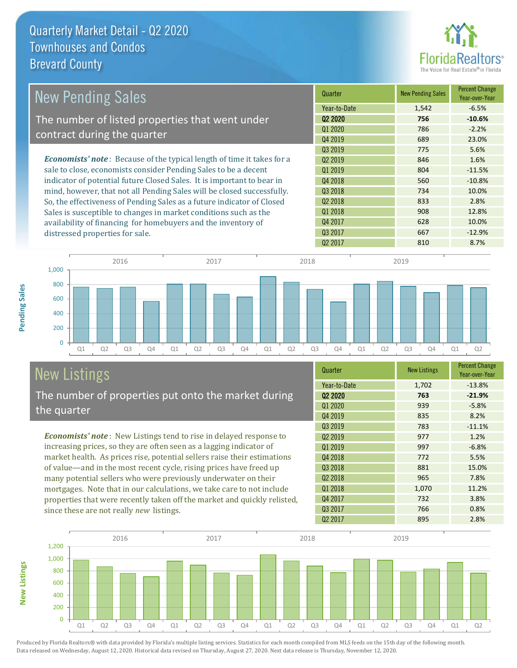distressed properties for sale.



| <b>New Pending Sales</b>                                                       | Quarter             | <b>New Pending Sales</b> | <b>Percent Change</b><br>Year-over-Year |
|--------------------------------------------------------------------------------|---------------------|--------------------------|-----------------------------------------|
|                                                                                | Year-to-Date        | 1,542                    | $-6.5%$                                 |
| The number of listed properties that went under                                | 02 2020             | 756                      | $-10.6%$                                |
|                                                                                | Q1 2020             | 786                      | $-2.2%$                                 |
| contract during the quarter                                                    | Q4 2019             | 689                      | 23.0%                                   |
|                                                                                | Q3 2019             | 775                      | 5.6%                                    |
| <b>Economists' note</b> : Because of the typical length of time it takes for a | 02 2019             | 846                      | 1.6%                                    |
| sale to close, economists consider Pending Sales to be a decent                | 01 2019             | 804                      | $-11.5%$                                |
| indicator of potential future Closed Sales. It is important to bear in         | Q4 2018             | 560                      | $-10.8%$                                |
| mind, however, that not all Pending Sales will be closed successfully.         | Q3 2018             | 734                      | 10.0%                                   |
| So, the effectiveness of Pending Sales as a future indicator of Closed         | Q <sub>2</sub> 2018 | 833                      | 2.8%                                    |
| Sales is susceptible to changes in market conditions such as the               | 01 2018             | 908                      | 12.8%                                   |
| availability of financing for homebuyers and the inventory of                  | Q4 2017             | 628                      | 10.0%                                   |



# New Listings

The number of properties put onto the market during the quarter

*Economists' note* : New Listings tend to rise in delayed response to increasing prices, so they are often seen as a lagging indicator of market health. As prices rise, potential sellers raise their estimations of value—and in the most recent cycle, rising prices have freed up many potential sellers who were previously underwater on their mortgages. Note that in our calculations, we take care to not include properties that were recently taken off the market and quickly relisted, since these are not really *new* listings.

| Quarter             | <b>New Listings</b> | <b>Percent Change</b><br>Year-over-Year |
|---------------------|---------------------|-----------------------------------------|
| Year-to-Date        | 1,702               | $-13.8%$                                |
| Q <sub>2</sub> 2020 | 763                 | $-21.9%$                                |
| Q1 2020             | 939                 | $-5.8%$                                 |
| Q4 2019             | 835                 | 8.2%                                    |
| Q3 2019             | 783                 | $-11.1%$                                |
| Q <sub>2</sub> 2019 | 977                 | 1.2%                                    |
| Q1 2019             | 997                 | $-6.8%$                                 |
| Q4 2018             | 772                 | 5.5%                                    |
| Q3 2018             | 881                 | 15.0%                                   |
| 02 2018             | 965                 | 7.8%                                    |
| Q1 2018             | 1,070               | 11.2%                                   |
| Q4 2017             | 732                 | 3.8%                                    |
| Q3 2017             | 766                 | 0.8%                                    |
| Q <sub>2</sub> 2017 | 895                 | 2.8%                                    |

02 2017 667 -12.9%<br>02 2017 810 8.7%



Produced by Florida Realtors® with data provided by Florida's multiple listing services. Statistics for each month compiled from MLS feeds on the 15th day of the following month. Data released on Wednesday, August 12, 2020. Historical data revised on Thursday, August 27, 2020. Next data release is Thursday, November 12, 2020.

**New Listings**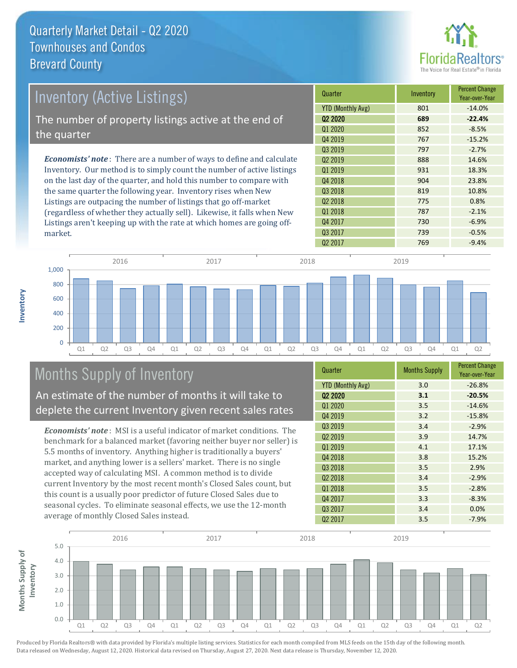

| Inventory (Active Listings)                                                  | Quarter                  | Inventory | <b>Percent Change</b><br>Year-over-Year |
|------------------------------------------------------------------------------|--------------------------|-----------|-----------------------------------------|
|                                                                              | <b>YTD (Monthly Avg)</b> | 801       | $-14.0%$                                |
| The number of property listings active at the end of                         | Q <sub>2</sub> 2020      | 689       | $-22.4%$                                |
|                                                                              | Q1 2020                  | 852       | $-8.5%$                                 |
| the quarter                                                                  | Q4 2019                  | 767       | $-15.2%$                                |
|                                                                              | Q3 2019                  | 797       | $-2.7%$                                 |
| <b>Economists' note</b> : There are a number of ways to define and calculate | 02 2019                  | 888       | 14.6%                                   |
| Inventory. Our method is to simply count the number of active listings       | 01 2019                  | 931       | 18.3%                                   |
| on the last day of the quarter, and hold this number to compare with         | Q4 2018                  | 904       | 23.8%                                   |
| the same quarter the following year. Inventory rises when New                | Q3 2018                  | 819       | 10.8%                                   |
| Listings are outpacing the number of listings that go off-market             | Q <sub>2</sub> 2018      | 775       | 0.8%                                    |
| (regardless of whether they actually sell). Likewise, it falls when New      | 01 2018                  | 787       | $-2.1%$                                 |

Q1 Q2 Q3 Q4 Q1 Q2 Q3 Q4 Q1 Q2 Q3 Q4 Q1 Q2 Q3 Q4 Q1 Q2  $\Omega$ 200 400 600 800 1,000 2016 2017 2018 2019

# Months Supply of Inventory

market.

**Inventory**

An estimate of the number of months it will take to deplete the current Inventory given recent sales rates

Listings aren't keeping up with the rate at which homes are going off-

*Economists' note* : MSI is a useful indicator of market conditions. The benchmark for a balanced market (favoring neither buyer nor seller) is 5.5 months of inventory. Anything higher is traditionally a buyers' market, and anything lower is a sellers' market. There is no single accepted way of calculating MSI. A common method is to divide current Inventory by the most recent month's Closed Sales count, but this count is a usually poor predictor of future Closed Sales due to seasonal cycles. To eliminate seasonal effects, we use the 12-month average of monthly Closed Sales instead.

| Quarter                  | <b>Months Supply</b> | <b>Percent Change</b><br>Year-over-Year |
|--------------------------|----------------------|-----------------------------------------|
| <b>YTD (Monthly Avg)</b> | 3.0                  | $-26.8%$                                |
| Q <sub>2</sub> 2020      | 3.1                  | $-20.5%$                                |
| Q1 2020                  | 3.5                  | $-14.6%$                                |
| Q4 2019                  | 3.2                  | $-15.8%$                                |
| Q3 2019                  | 3.4                  | $-2.9%$                                 |
| Q <sub>2</sub> 2019      | 3.9                  | 14.7%                                   |
| Q1 2019                  | 4.1                  | 17.1%                                   |
| Q4 2018                  | 3.8                  | 15.2%                                   |
| Q3 2018                  | 3.5                  | 2.9%                                    |
| Q <sub>2</sub> 2018      | 3.4                  | $-2.9%$                                 |
| Q1 2018                  | 3.5                  | $-2.8%$                                 |
| Q4 2017                  | 3.3                  | $-8.3%$                                 |
| Q3 2017                  | 3.4                  | 0.0%                                    |
| Q <sub>2</sub> 2017      | 3.5                  | $-7.9%$                                 |

 $Q2\ 2017$   $769$   $-9.4\%$ 

Q4 2017 200 2017 230 24 2017 Q3 2017 **739** -0.5%

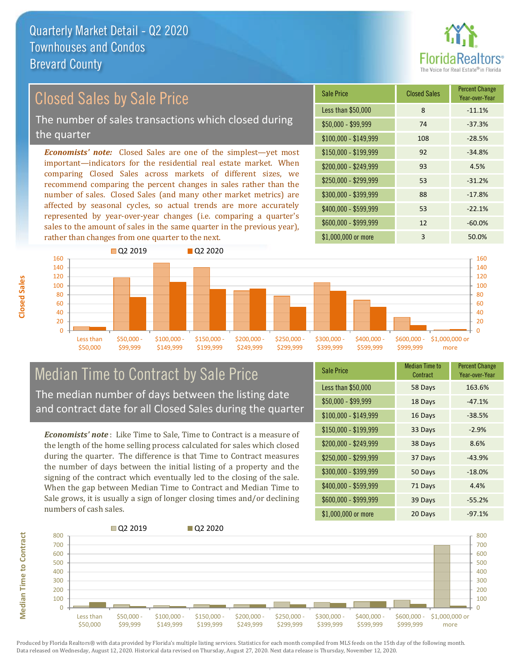

### Closed Sales by Sale Price

The number of sales transactions which closed during the quarter

*Economists' note:* Closed Sales are one of the simplest—yet most important—indicators for the residential real estate market. When comparing Closed Sales across markets of different sizes, we recommend comparing the percent changes in sales rather than the number of sales. Closed Sales (and many other market metrics) are affected by seasonal cycles, so actual trends are more accurately represented by year-over-year changes (i.e. comparing a quarter's sales to the amount of sales in the same quarter in the previous year), rather than changes from one quarter to the next.

| <b>Sale Price</b>     | <b>Closed Sales</b> | <b>Percent Change</b><br>Year-over-Year |
|-----------------------|---------------------|-----------------------------------------|
| Less than \$50,000    | 8                   | $-11.1%$                                |
| \$50,000 - \$99,999   | 74                  | $-37.3%$                                |
| $$100,000 - $149,999$ | 108                 | $-28.5%$                                |
| $$150,000 - $199,999$ | 92                  | $-34.8%$                                |
| \$200,000 - \$249,999 | 93                  | 4.5%                                    |
| \$250,000 - \$299,999 | 53                  | $-31.2%$                                |
| \$300,000 - \$399,999 | 88                  | $-17.8%$                                |
| \$400,000 - \$599,999 | 53                  | $-22.1%$                                |
| \$600,000 - \$999,999 | 12                  | $-60.0%$                                |
| \$1,000,000 or more   | 3                   | 50.0%                                   |



### Median Time to Contract by Sale Price The median number of days between the listing date

and contract date for all Closed Sales during the quarter

*Economists' note* : Like Time to Sale, Time to Contract is a measure of the length of the home selling process calculated for sales which closed during the quarter. The difference is that Time to Contract measures the number of days between the initial listing of a property and the signing of the contract which eventually led to the closing of the sale. When the gap between Median Time to Contract and Median Time to Sale grows, it is usually a sign of longer closing times and/or declining numbers of cash sales.

| <b>Sale Price</b>     | <b>Median Time to</b><br>Contract | <b>Percent Change</b><br>Year-over-Year |
|-----------------------|-----------------------------------|-----------------------------------------|
| Less than \$50,000    | 58 Days                           | 163.6%                                  |
| \$50,000 - \$99,999   | 18 Days                           | $-47.1%$                                |
| $$100,000 - $149,999$ | 16 Days                           | $-38.5%$                                |
| \$150,000 - \$199,999 | 33 Days                           | $-2.9%$                                 |
| \$200,000 - \$249,999 | 38 Days                           | 8.6%                                    |
| \$250,000 - \$299,999 | 37 Days                           | $-43.9%$                                |
| \$300,000 - \$399,999 | 50 Days                           | $-18.0%$                                |
| \$400,000 - \$599,999 | 71 Days                           | 4.4%                                    |
| \$600,000 - \$999,999 | 39 Days                           | $-55.2%$                                |
| \$1,000,000 or more   | 20 Days                           | $-97.1%$                                |



Produced by Florida Realtors® with data provided by Florida's multiple listing services. Statistics for each month compiled from MLS feeds on the 15th day of the following month. Data released on Wednesday, August 12, 2020. Historical data revised on Thursday, August 27, 2020. Next data release is Thursday, November 12, 2020.

**Median Time to Contract**

**Median Time to Contract**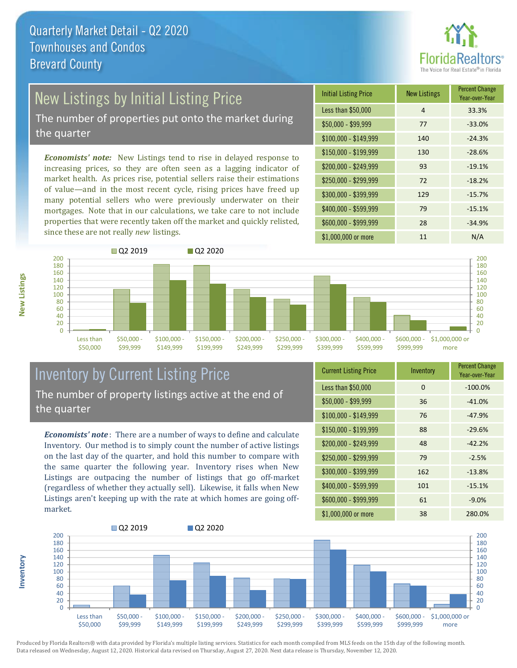

# New Listings by Initial Listing Price

The number of properties put onto the market during the quarter

*Economists' note:* New Listings tend to rise in delayed response to increasing prices, so they are often seen as a lagging indicator of market health. As prices rise, potential sellers raise their estimations of value—and in the most recent cycle, rising prices have freed up many potential sellers who were previously underwater on their mortgages. Note that in our calculations, we take care to not include properties that were recently taken off the market and quickly relisted, since these are not really *new* listings.

| <b>Initial Listing Price</b> | <b>New Listings</b> | <b>Percent Change</b><br>Year-over-Year |
|------------------------------|---------------------|-----------------------------------------|
| Less than \$50,000           | 4                   | 33.3%                                   |
| \$50,000 - \$99,999          | 77                  | $-33.0%$                                |
| $$100,000 - $149,999$        | 140                 | $-24.3%$                                |
| $$150,000 - $199,999$        | 130                 | $-28.6%$                                |
| \$200,000 - \$249,999        | 93                  | $-19.1%$                                |
| \$250,000 - \$299,999        | 72                  | $-18.2%$                                |
| \$300,000 - \$399,999        | 129                 | $-15.7%$                                |
| \$400,000 - \$599,999        | 79                  | $-15.1%$                                |
| \$600,000 - \$999,999        | 28                  | $-34.9%$                                |
| \$1,000,000 or more          | 11                  | N/A                                     |



### Inventory by Current Listing Price The number of property listings active at the end of the quarter

*Economists' note* : There are a number of ways to define and calculate Inventory. Our method is to simply count the number of active listings on the last day of the quarter, and hold this number to compare with the same quarter the following year. Inventory rises when New Listings are outpacing the number of listings that go off-market (regardless of whether they actually sell). Likewise, it falls when New Listings aren't keeping up with the rate at which homes are going offmarket.

| <b>Current Listing Price</b> | Inventory | <b>Percent Change</b><br>Year-over-Year |
|------------------------------|-----------|-----------------------------------------|
| Less than \$50,000           | 0         | $-100.0%$                               |
| $$50,000 - $99,999$          | 36        | $-41.0%$                                |
| \$100,000 - \$149,999        | 76        | $-47.9%$                                |
| $$150,000 - $199,999$        | 88        | $-29.6%$                                |
| \$200,000 - \$249,999        | 48        | $-42.2%$                                |
| \$250,000 - \$299,999        | 79        | $-2.5%$                                 |
| \$300,000 - \$399,999        | 162       | $-13.8%$                                |
| \$400,000 - \$599,999        | 101       | $-15.1%$                                |
| \$600,000 - \$999,999        | 61        | $-9.0%$                                 |
| \$1,000,000 or more          | 38        | 280.0%                                  |



Produced by Florida Realtors® with data provided by Florida's multiple listing services. Statistics for each month compiled from MLS feeds on the 15th day of the following month. Data released on Wednesday, August 12, 2020. Historical data revised on Thursday, August 27, 2020. Next data release is Thursday, November 12, 2020.

**Inventory**